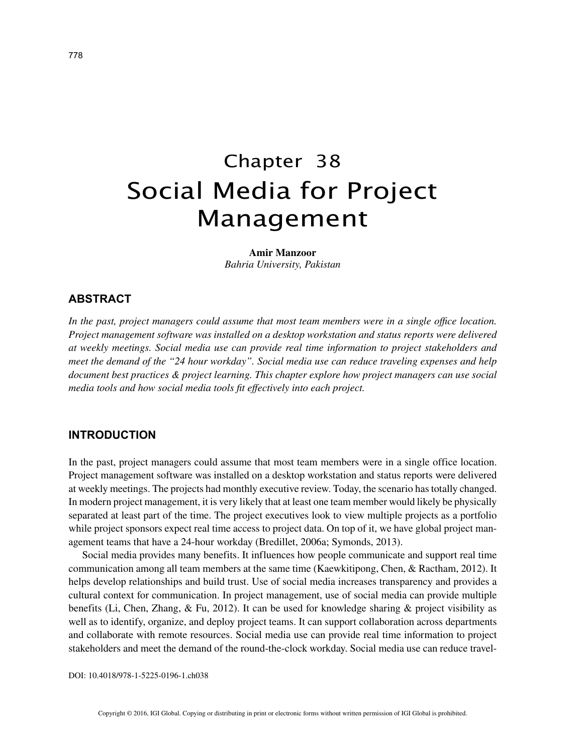# Chapter 38 Social Media for Project Management

#### **Amir Manzoor**

*Bahria University, Pakistan*

### **ABSTRACT**

*In the past, project managers could assume that most team members were in a single office location. Project management software was installed on a desktop workstation and status reports were delivered at weekly meetings. Social media use can provide real time information to project stakeholders and meet the demand of the "24 hour workday". Social media use can reduce traveling expenses and help document best practices & project learning. This chapter explore how project managers can use social media tools and how social media tools fit effectively into each project.*

#### **INTRODUCTION**

In the past, project managers could assume that most team members were in a single office location. Project management software was installed on a desktop workstation and status reports were delivered at weekly meetings. The projects had monthly executive review. Today, the scenario has totally changed. In modern project management, it is very likely that at least one team member would likely be physically separated at least part of the time. The project executives look to view multiple projects as a portfolio while project sponsors expect real time access to project data. On top of it, we have global project management teams that have a 24-hour workday (Bredillet, 2006a; Symonds, 2013).

Social media provides many benefits. It influences how people communicate and support real time communication among all team members at the same time (Kaewkitipong, Chen, & Ractham, 2012). It helps develop relationships and build trust. Use of social media increases transparency and provides a cultural context for communication. In project management, use of social media can provide multiple benefits (Li, Chen, Zhang, & Fu, 2012). It can be used for knowledge sharing & project visibility as well as to identify, organize, and deploy project teams. It can support collaboration across departments and collaborate with remote resources. Social media use can provide real time information to project stakeholders and meet the demand of the round-the-clock workday. Social media use can reduce travel-

DOI: 10.4018/978-1-5225-0196-1.ch038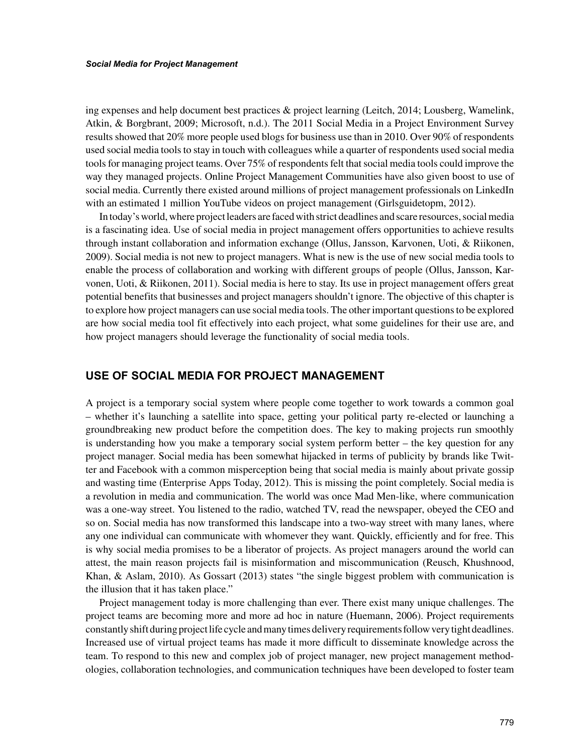ing expenses and help document best practices & project learning (Leitch, 2014; Lousberg, Wamelink, Atkin, & Borgbrant, 2009; Microsoft, n.d.). The 2011 Social Media in a Project Environment Survey results showed that 20% more people used blogs for business use than in 2010. Over 90% of respondents used social media tools to stay in touch with colleagues while a quarter of respondents used social media tools for managing project teams. Over 75% of respondents felt that social media tools could improve the way they managed projects. Online Project Management Communities have also given boost to use of social media. Currently there existed around millions of project management professionals on LinkedIn with an estimated 1 million YouTube videos on project management (Girlsguidetopm, 2012).

In today's world, where project leaders are faced with strict deadlines and scare resources, social media is a fascinating idea. Use of social media in project management offers opportunities to achieve results through instant collaboration and information exchange (Ollus, Jansson, Karvonen, Uoti, & Riikonen, 2009). Social media is not new to project managers. What is new is the use of new social media tools to enable the process of collaboration and working with different groups of people (Ollus, Jansson, Karvonen, Uoti, & Riikonen, 2011). Social media is here to stay. Its use in project management offers great potential benefits that businesses and project managers shouldn't ignore. The objective of this chapter is to explore how project managers can use social media tools. The other important questions to be explored are how social media tool fit effectively into each project, what some guidelines for their use are, and how project managers should leverage the functionality of social media tools.

## **USE OF SOCIAL MEDIA FOR PROJECT MANAGEMENT**

A project is a temporary social system where people come together to work towards a common goal – whether it's launching a satellite into space, getting your political party re-elected or launching a groundbreaking new product before the competition does. The key to making projects run smoothly is understanding how you make a temporary social system perform better – the key question for any project manager. Social media has been somewhat hijacked in terms of publicity by brands like Twitter and Facebook with a common misperception being that social media is mainly about private gossip and wasting time (Enterprise Apps Today, 2012). This is missing the point completely. Social media is a revolution in media and communication. The world was once Mad Men-like, where communication was a one-way street. You listened to the radio, watched TV, read the newspaper, obeyed the CEO and so on. Social media has now transformed this landscape into a two-way street with many lanes, where any one individual can communicate with whomever they want. Quickly, efficiently and for free. This is why social media promises to be a liberator of projects. As project managers around the world can attest, the main reason projects fail is misinformation and miscommunication (Reusch, Khushnood, Khan, & Aslam, 2010). As Gossart (2013) states "the single biggest problem with communication is the illusion that it has taken place."

Project management today is more challenging than ever. There exist many unique challenges. The project teams are becoming more and more ad hoc in nature (Huemann, 2006). Project requirements constantly shift during project life cycle and many times delivery requirements follow very tight deadlines. Increased use of virtual project teams has made it more difficult to disseminate knowledge across the team. To respond to this new and complex job of project manager, new project management methodologies, collaboration technologies, and communication techniques have been developed to foster team